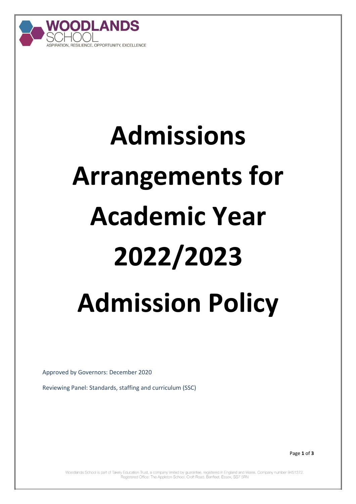

# **Admissions Arrangements for Academic Year 2022/2023 Admission Policy**

Approved by Governors: December 2020

Reviewing Panel: Standards, staffing and curriculum (SSC)

Page **1** of **3**

Woodlands School is part of Takely Education Trust, a company limited by guarantee, registered in England and Wales. Company number 9451372. Registered Office: The Appleton School, Croft Road, Benfleet, Essex, SS7 5RN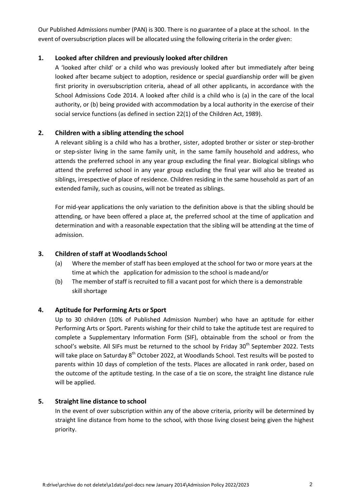Our Published Admissions number (PAN) is 300. There is no guarantee of a place at the school. In the event of oversubscription places will be allocated using the following criteria in the order given:

#### **1. Looked after children and previously looked after children**

A 'looked after child' or a child who was previously looked after but immediately after being looked after became subject to adoption, residence or special guardianship order will be given first priority in oversubscription criteria, ahead of all other applicants, in accordance with the School Admissions Code 2014. A looked after child is a child who is (a) in the care of the local authority, or (b) being provided with accommodation by a local authority in the exercise of their social service functions (as defined in section 22(1) of the Children Act, 1989).

### **2. Children with a sibling attending the school**

A relevant sibling is a child who has a brother, sister, adopted brother or sister or step-brother or step-sister living in the same family unit, in the same family household and address, who attends the preferred school in any year group excluding the final year. Biological siblings who attend the preferred school in any year group excluding the final year will also be treated as siblings, irrespective of place of residence. Children residing in the same household as part of an extended family, such as cousins, will not be treated as siblings.

For mid-year applications the only variation to the definition above is that the sibling should be attending, or have been offered a place at, the preferred school at the time of application and determination and with a reasonable expectation that the sibling will be attending at the time of admission.

#### **3. Children of staff at Woodlands School**

- (a) Where the member of staff has been employed at the school for two or more years at the time at which the application for admission to the school is madeand/or
- (b) The member of staff is recruited to fill a vacant post for which there is a demonstrable skill shortage

### **4. Aptitude for Performing Arts or Sport**

Up to 30 children (10% of Published Admission Number) who have an aptitude for either Performing Arts or Sport. Parents wishing for their child to take the aptitude test are required to complete a Supplementary Information Form (SIF), obtainable from the school or from the school's website. All SIFs must be returned to the school by Friday 30<sup>th</sup> September 2022. Tests will take place on Saturday 8<sup>th</sup> October 2022, at Woodlands School. Test results will be posted to parents within 10 days of completion of the tests. Places are allocated in rank order, based on the outcome of the aptitude testing. In the case of a tie on score, the straight line distance rule will be applied.

#### **5. Straight line distance to school**

In the event of over subscription within any of the above criteria, priority will be determined by straight line distance from home to the school, with those living closest being given the highest priority.